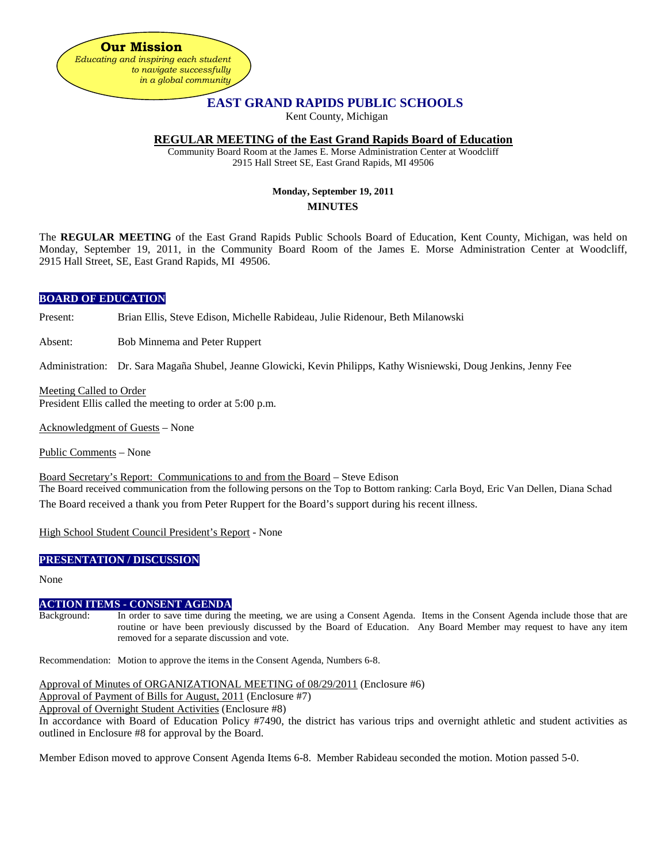

# **EAST GRAND RAPIDS PUBLIC SCHOOLS**

Kent County, Michigan

# **REGULAR MEETING of the East Grand Rapids Board of Education**

Community Board Room at the James E. Morse Administration Center at Woodcliff 2915 Hall Street SE, East Grand Rapids, MI 49506

# **Monday, September 19, 2011 MINUTES**

The **REGULAR MEETING** of the East Grand Rapids Public Schools Board of Education, Kent County, Michigan, was held on Monday, September 19, 2011, in the Community Board Room of the James E. Morse Administration Center at Woodcliff, 2915 Hall Street, SE, East Grand Rapids, MI 49506.

## **BOARD OF EDUCATION**

Present: Brian Ellis, Steve Edison, Michelle Rabideau, Julie Ridenour, Beth Milanowski

Absent: Bob Minnema and Peter Ruppert

Administration: Dr. Sara Magaña Shubel, Jeanne Glowicki, Kevin Philipps, Kathy Wisniewski, Doug Jenkins, Jenny Fee

Meeting Called to Order President Ellis called the meeting to order at 5:00 p.m.

Acknowledgment of Guests – None

Public Comments – None

Board Secretary's Report: Communications to and from the Board – Steve Edison

The Board received communication from the following persons on the Top to Bottom ranking: Carla Boyd, Eric Van Dellen, Diana Schad The Board received a thank you from Peter Ruppert for the Board's support during his recent illness.

High School Student Council President's Report - None

# **PRESENTATION / DISCUSSION**

None

## **ACTION ITEMS - CONSENT AGENDA**

Background: In order to save time during the meeting, we are using a Consent Agenda. Items in the Consent Agenda include those that are routine or have been previously discussed by the Board of Education. Any Board Member may request to have any item removed for a separate discussion and vote.

Recommendation: Motion to approve the items in the Consent Agenda, Numbers 6-8.

Approval of Minutes of ORGANIZATIONAL MEETING of 08/29/2011 (Enclosure #6)

Approval of Payment of Bills for August, 2011 (Enclosure #7)

Approval of Overnight Student Activities (Enclosure #8)

In accordance with Board of Education Policy #7490, the district has various trips and overnight athletic and student activities as outlined in Enclosure #8 for approval by the Board.

Member Edison moved to approve Consent Agenda Items 6-8. Member Rabideau seconded the motion. Motion passed 5-0.